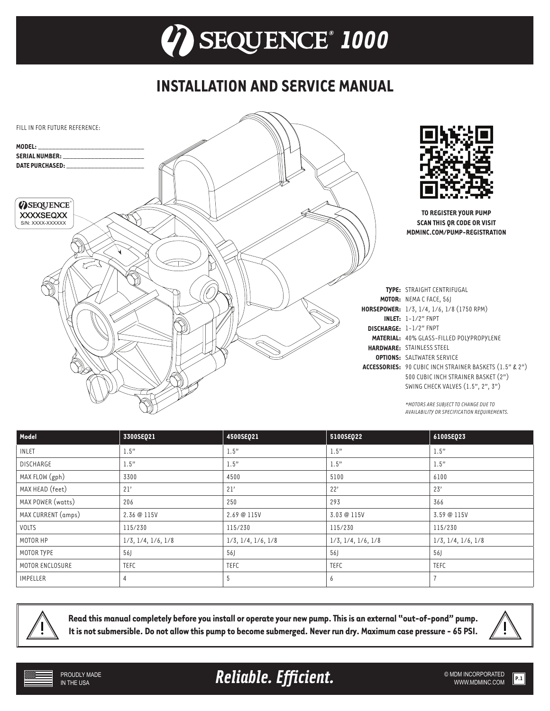## **INSTALLATION AND SERVICE MANUAL**



| Model              | 3300SEQ21                     | 4500SEQ21                     | 5100SEQ22                     | 6100SEQ23                     |
|--------------------|-------------------------------|-------------------------------|-------------------------------|-------------------------------|
| <b>INLET</b>       | 1.5"                          | 1.5"                          | 1.5"                          | 1.5"                          |
| <b>DISCHARGE</b>   | 1.5"                          | 1.5"                          | 1.5"                          | 1.5"                          |
| MAX FLOW (gph)     | 3300                          | 4500                          | 5100                          | 6100                          |
| MAX HEAD (feet)    | 21'                           | 21'                           | 22'                           | 23'                           |
| MAX POWER (watts)  | 206                           | 250                           | 293                           | 366                           |
| MAX CURRENT (amps) | 2.36 @ 115V                   | 2.69 @ 115V                   | 3.03 @ 115V                   | 3.59 @ 115V                   |
| VOLTS              | 115/230                       | 115/230                       | 115/230                       | 115/230                       |
| MOTOR HP           | $1/3$ , $1/4$ , $1/6$ , $1/8$ | $1/3$ , $1/4$ , $1/6$ , $1/8$ | $1/3$ , $1/4$ , $1/6$ , $1/8$ | $1/3$ , $1/4$ , $1/6$ , $1/8$ |
| MOTOR TYPE         | 56                            | 56J                           | 56                            | 56                            |
| MOTOR ENCLOSURE    | <b>TEFC</b>                   | <b>TEFC</b>                   | TEFC                          | TEFC                          |
| IMPELLER           |                               | 5                             | b                             |                               |



**Read this manual completely before you install or operate your new pump. This is an external "out-of-pond" pump. It is not submersible. Do not allow this pump to become submerged. Never run dry. Maximum case pressure - 65 PSI.**



**Reliable. Efficient.** And the submincorporated **Reliable.** Efficient.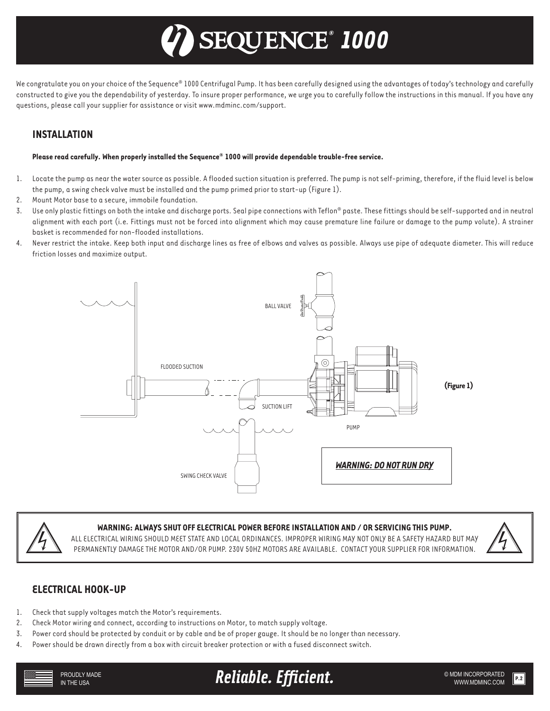# *® 1000*

We congratulate you on your choice of the Sequence® 1000 Centrifugal Pump. It has been carefully designed using the advantages of today's technology and carefully constructed to give you the dependability of yesterday. To insure proper performance, we urge you to carefully follow the instructions in this manual. If you have any questions, please call your supplier for assistance or visit www.mdminc.com/support.

## **INSTALLATION**

#### **Please read carefully. When properly installed the Sequence® 1000 will provide dependable trouble-free service.**

- 1. Locate the pump as near the water source as possible. A flooded suction situation is preferred. The pump is not self-priming, therefore, if the fluid level is below the pump, a swing check valve must be installed and the pump primed prior to start-up (Figure 1).
- 2. Mount Motor base to a secure, immobile foundation.
- 3. Use only plastic fittings on both the intake and discharge ports. Seal pipe connections with Teflon® paste. These fittings should be self-supported and in neutral alignment with each port (i.e. Fittings must not be forced into alignment which may cause premature line failure or damage to the pump volute). A strainer basket is recommended for non-flooded installations.
- 4. Never restrict the intake. Keep both input and discharge lines as free of elbows and valves as possible. Always use pipe of adequate diameter. This will reduce friction losses and maximize output.





#### **WARNING: ALWAYS SHUT OFF ELECTRICAL POWER BEFORE INSTALLATION AND / OR SERVICING THIS PUMP.**

ALL ELECTRICAL WIRING SHOULD MEET STATE AND LOCAL ORDINANCES. IMPROPER WIRING MAY NOT ONLY BE A SAFETY HAZARD BUT MAY PERMANENTLY DAMAGE THE MOTOR AND/OR PUMP. 230V 50HZ MOTORS ARE AVAILABLE. CONTACT YOUR SUPPLIER FOR INFORMATION.



#### **ELECTRICAL HOOK-UP**

- 1. Check that supply voltages match the Motor's requirements.
- 2. Check Motor wiring and connect, according to instructions on Motor, to match supply voltage.
- 3. Power cord should be protected by conduit or by cable and be of proper gauge. It should be no longer than necessary.
- 4. Power should be drawn directly from a box with circuit breaker protection or with a fused disconnect switch.



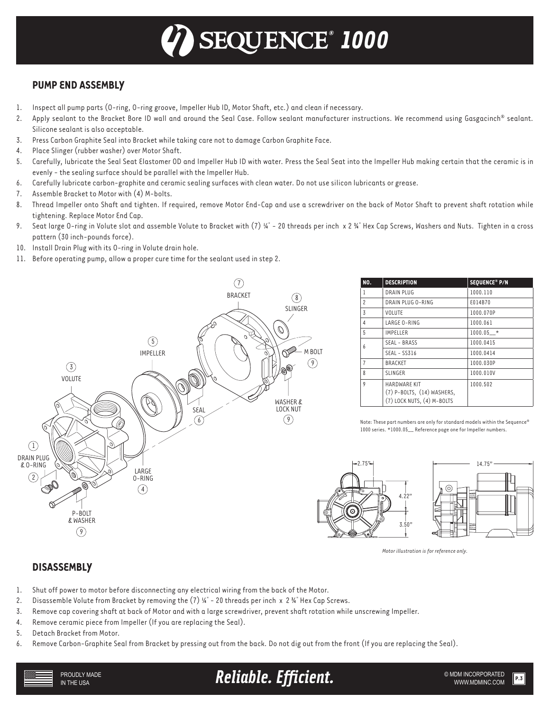## *® 1000*

## **PUMP END ASSEMBLY**

- 1. Inspect all pump parts (O-ring, O-ring groove, Impeller Hub ID, Motor Shaft, etc.) and clean if necessary.
- 2. Apply sealant to the Bracket Bore ID wall and around the Seal Case. Follow sealant manufacturer instructions. We recommend using Gasgacinch® sealant. Silicone sealant is also acceptable.
- 3. Press Carbon Graphite Seal into Bracket while taking care not to damage Carbon Graphite Face.
- 4. Place Slinger (rubber washer) over Motor Shaft.
- 5. Carefully, lubricate the Seal Seat Elastomer OD and Impeller Hub ID with water. Press the Seal Seat into the Impeller Hub making certain that the ceramic is in evenly - the sealing surface should be parallel with the Impeller Hub.
- 6. Carefully lubricate carbon-graphite and ceramic sealing surfaces with clean water. Do not use silicon lubricants or grease.
- 7. Assemble Bracket to Motor with (4) M-bolts.
- 8. Thread Impeller onto Shaft and tighten. If required, remove Motor End-Cap and use a screwdriver on the back of Motor Shaft to prevent shaft rotation while tightening. Replace Motor End Cap.
- 9. Seat large O-ring in Volute slot and assemble Volute to Bracket with  $(7)$  ¼" 20 threads per inch x 2 ¾" Hex Cap Screws, Washers and Nuts. Tighten in a cross pattern (30 inch-pounds force).
- 10. Install Drain Plug with its O-ring in Volute drain hole.
- 11. Before operating pump, allow a proper cure time for the sealant used in step 2.



| NO.            | <b>DESCRIPTION</b>                                                                  | SEQUENCE® P/N |
|----------------|-------------------------------------------------------------------------------------|---------------|
| 1              | DRAIN PLUG                                                                          | 1000.110      |
| $\overline{c}$ | DRAIN PLUG 0-RING                                                                   | £014B70       |
| 3              | VOLUTE                                                                              | 1000.070P     |
| 4              | LARGE 0-RING                                                                        | 1000.061      |
| 5              | <b>IMPELLER</b>                                                                     | $1000.05$ *   |
| h              | SEAL - BRASS                                                                        | 1000.0415     |
|                | SEAL - SS316                                                                        | 1000.0414     |
| $\overline{7}$ | <b>BRACKET</b>                                                                      | 1000.030P     |
| 8              | <b>SLINGER</b>                                                                      | 1000.010V     |
| 9              | <b>HARDWARE KIT</b><br>$(7)$ P-BOLTS, $(14)$ WASHERS,<br>(7) LOCK NUTS, (4) M-BOLTS | 1000.502      |

Note: These part numbers are only for standard models within the Sequence® 1000 series. \*1000.05\_\_ Reference page one for Impeller numbers.





*Motor illustration is for reference only.*

#### **DISASSEMBLY**

- 1. Shut off power to motor before disconnecting any electrical wiring from the back of the Motor.
- 2. Disassemble Volute from Bracket by removing the (7)  $\frac{1}{4}$  20 threads per inch x 2  $\frac{1}{4}$  Hex Cap Screws.
- 3. Remove cap covering shaft at back of Motor and with a large screwdriver, prevent shaft rotation while unscrewing Impeller.
- 4. Remove ceramic piece from Impeller (If you are replacing the Seal).
- 5. Detach Bracket from Motor.
- 6. Remove Carbon-Graphite Seal from Bracket by pressing out from the back. Do not dig out from the front (If you are replacing the Seal).

PROUDLY MADE IN THE USA

**Reliable. Efficient.** WE ARELIABLE STRATED